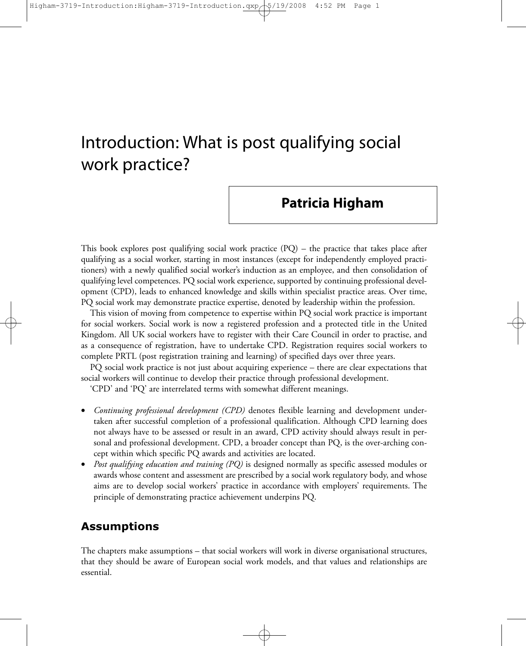# Introduction: What is post qualifying social work practice?

## **Patricia Higham**

This book explores post qualifying social work practice (PQ) – the practice that takes place after qualifying as a social worker, starting in most instances (except for independently employed practitioners) with a newly qualified social worker's induction as an employee, and then consolidation of qualifying level competences. PQ social work experience, supported by continuing professional development (CPD), leads to enhanced knowledge and skills within specialist practice areas. Over time, PQ social work may demonstrate practice expertise, denoted by leadership within the profession.

This vision of moving from competence to expertise within PQ social work practice is important for social workers. Social work is now a registered profession and a protected title in the United Kingdom. All UK social workers have to register with their Care Council in order to practise, and as a consequence of registration, have to undertake CPD. Registration requires social workers to complete PRTL (post registration training and learning) of specified days over three years.

PQ social work practice is not just about acquiring experience – there are clear expectations that social workers will continue to develop their practice through professional development.

'CPD' and 'PQ' are interrelated terms with somewhat different meanings.

- *Continuing professional development (CPD)* denotes flexible learning and development undertaken after successful completion of a professional qualification. Although CPD learning does not always have to be assessed or result in an award, CPD activity should always result in personal and professional development. CPD, a broader concept than PQ, is the over-arching concept within which specific PQ awards and activities are located.
- *Post qualifying education and training (PQ)* is designed normally as specific assessed modules or awards whose content and assessment are prescribed by a social work regulatory body, and whose aims are to develop social workers' practice in accordance with employers' requirements. The principle of demonstrating practice achievement underpins PQ.

## **Assumptions**

The chapters make assumptions – that social workers will work in diverse organisational structures, that they should be aware of European social work models, and that values and relationships are essential.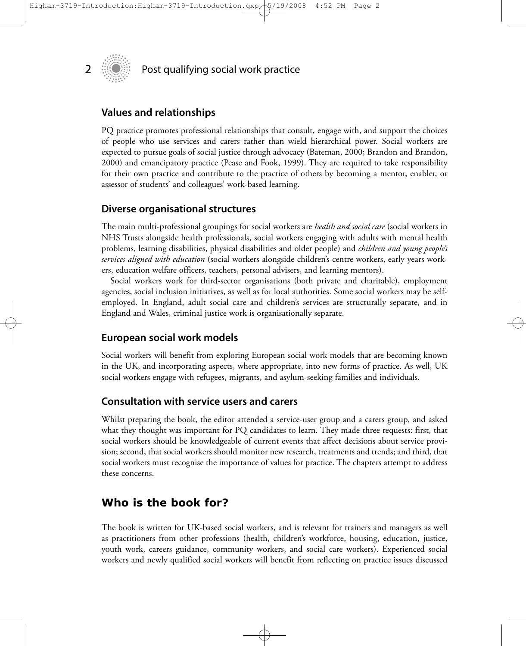### **Values and relationships**

PQ practice promotes professional relationships that consult, engage with, and support the choices of people who use services and carers rather than wield hierarchical power. Social workers are expected to pursue goals of social justice through advocacy (Bateman, 2000; Brandon and Brandon, 2000) and emancipatory practice (Pease and Fook, 1999). They are required to take responsibility for their own practice and contribute to the practice of others by becoming a mentor, enabler, or assessor of students' and colleagues' work-based learning.

#### **Diverse organisational structures**

The main multi-professional groupings for social workers are *health and social care* (social workers in NHS Trusts alongside health professionals, social workers engaging with adults with mental health problems, learning disabilities, physical disabilities and older people) and *children and young people's services aligned with education* (social workers alongside children's centre workers, early years workers, education welfare officers, teachers, personal advisers, and learning mentors).

Social workers work for third-sector organisations (both private and charitable), employment agencies, social inclusion initiatives, as well as for local authorities. Some social workers may be selfemployed. In England, adult social care and children's services are structurally separate, and in England and Wales, criminal justice work is organisationally separate.

#### **European social work models**

Social workers will benefit from exploring European social work models that are becoming known in the UK, and incorporating aspects, where appropriate, into new forms of practice. As well, UK social workers engage with refugees, migrants, and asylum-seeking families and individuals.

#### **Consultation with service users and carers**

Whilst preparing the book, the editor attended a service-user group and a carers group, and asked what they thought was important for PQ candidates to learn. They made three requests: first, that social workers should be knowledgeable of current events that affect decisions about service provision; second, that social workers should monitor new research, treatments and trends; and third, that social workers must recognise the importance of values for practice. The chapters attempt to address these concerns.

## **Who is the book for?**

The book is written for UK-based social workers, and is relevant for trainers and managers as well as practitioners from other professions (health, children's workforce, housing, education, justice, youth work, careers guidance, community workers, and social care workers). Experienced social workers and newly qualified social workers will benefit from reflecting on practice issues discussed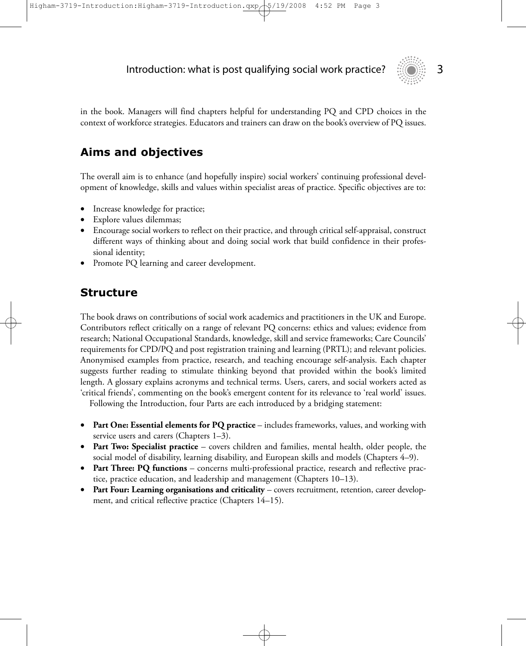Introduction: what is post qualifying social work practice? 3



in the book. Managers will find chapters helpful for understanding PQ and CPD choices in the context of workforce strategies. Educators and trainers can draw on the book's overview of PQ issues.

## **Aims and objectives**

The overall aim is to enhance (and hopefully inspire) social workers' continuing professional development of knowledge, skills and values within specialist areas of practice. Specific objectives are to:

- Increase knowledge for practice;
- Explore values dilemmas;
- Encourage social workers to reflect on their practice, and through critical self-appraisal, construct different ways of thinking about and doing social work that build confidence in their professional identity;
- Promote PQ learning and career development.

## **Structure**

The book draws on contributions of social work academics and practitioners in the UK and Europe. Contributors reflect critically on a range of relevant PQ concerns: ethics and values; evidence from research; National Occupational Standards, knowledge, skill and service frameworks; Care Councils' requirements for CPD/PQ and post registration training and learning (PRTL); and relevant policies. Anonymised examples from practice, research, and teaching encourage self-analysis. Each chapter suggests further reading to stimulate thinking beyond that provided within the book's limited length. A glossary explains acronyms and technical terms. Users, carers, and social workers acted as 'critical friends', commenting on the book's emergent content for its relevance to 'real world' issues.

Following the Introduction, four Parts are each introduced by a bridging statement:

- **Part One: Essential elements for PQ practice** includes frameworks, values, and working with service users and carers (Chapters 1–3).
- **Part Two: Specialist practice** covers children and families, mental health, older people, the social model of disability, learning disability, and European skills and models (Chapters 4–9).
- **Part Three: PQ functions** concerns multi-professional practice, research and reflective practice, practice education, and leadership and management (Chapters 10–13).
- **Part Four: Learning organisations and criticality** covers recruitment, retention, career development, and critical reflective practice (Chapters 14–15).